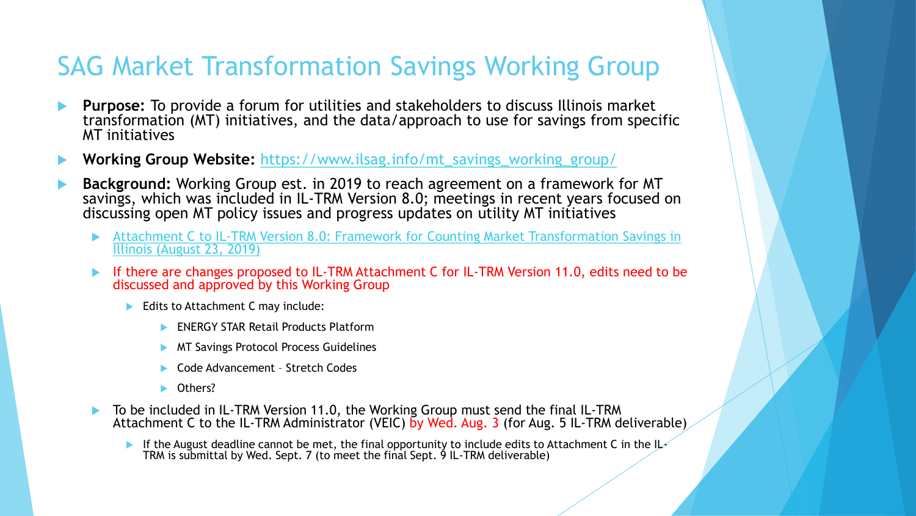## SAG Market Transformation Savings Working Group

- **Purpose:** To provide a forum for utilities and stakeholders to discuss Illinois market transformation (MT) initiatives, and the data/approach to use for savings from specific MT initiatives
- **Working Group Website:** [https://www.ilsag.info/mt\\_savings\\_working\\_group/](https://www.ilsag.info/mt_savings_working_group/)
- **Background:** Working Group est. in 2019 to reach agreement on a framework for MT savings, which was included in IL-TRM Version 8.0; meetings in recent years focused on discussing open MT policy issues and progress updates on utility MT initiatives
	- [Attachment C to IL-TRM Version 8.0: Framework for Counting Market Transformation Savings in](https://ilsag.s3.amazonaws.com/MT_Savings_Paper_Final_08-23-2019.pdf)  Illinois (August 23, 2019)
	- **If there are changes proposed to IL-TRM Attachment C for IL-TRM Version 11.0, edits need to be** discussed and approved by this Working Group
		- Edits to Attachment C may include:
			- **ENERGY STAR Retail Products Platform**
			- **MT Savings Protocol Process Guidelines**
			- Code Advancement Stretch Codes
			- Others?
	- To be included in IL-TRM Version 11.0, the Working Group must send the final IL-TRM Attachment C to the IL-TRM Administrator (VEIC) by Wed. Aug. 3 (for Aug. 5 IL-TRM deliverable)
		- If the August deadline cannot be met, the final opportunity to include edits to Attachment C in the IL-TRM is submittal by Wed. Sept. 7 (to meet the final Sept. 9 IL-TRM deliverable)